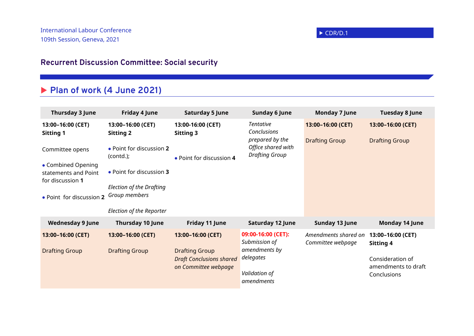## **Recurrent Discussion Committee: Social security**

## **Plan of work (4 June 2021)**

| Thursday 3 June                                                      | <b>Friday 4 June</b>                                                         | <b>Saturday 5 June</b>                                                           | <b>Sunday 6 June</b>                                                                              | <b>Monday 7 June</b>                      | <b>Tuesday 8 June</b>                                  |
|----------------------------------------------------------------------|------------------------------------------------------------------------------|----------------------------------------------------------------------------------|---------------------------------------------------------------------------------------------------|-------------------------------------------|--------------------------------------------------------|
| 13:00-16:00 (CET)<br><b>Sitting 1</b>                                | 13:00-16:00 (CET)<br><b>Sitting 2</b>                                        | 13:00-16:00 (CET)<br><b>Sitting 3</b>                                            | <b>Tentative</b><br>Conclusions<br>prepared by the<br>Office shared with<br><b>Drafting Group</b> | 13:00-16:00 (CET)                         | 13:00-16:00 (CET)                                      |
| Committee opens<br>• Combined Opening                                | • Point for discussion 2<br>(contd.);                                        | • Point for discussion 4                                                         |                                                                                                   | <b>Drafting Group</b>                     | <b>Drafting Group</b>                                  |
| statements and Point<br>for discussion 1<br>. Point for discussion 2 | • Point for discussion 3<br><b>Election of the Drafting</b><br>Group members |                                                                                  |                                                                                                   |                                           |                                                        |
|                                                                      | Election of the Reporter                                                     |                                                                                  |                                                                                                   |                                           |                                                        |
| <b>Wednesday 9 June</b>                                              | <b>Thursday 10 June</b>                                                      | Friday 11 June                                                                   | Saturday 12 June                                                                                  | Sunday 13 June                            | <b>Monday 14 June</b>                                  |
| 13:00-16:00 (CET)                                                    | 13:00-16:00 (CET)                                                            | 13:00-16:00 (CET)                                                                | 09:00-16:00 (CET):<br>Submission of<br>amendments by<br>delegates                                 | Amendments shared on<br>Committee webpage | 13:00-16:00 (CET)<br>Sitting 4                         |
| <b>Drafting Group</b>                                                | <b>Drafting Group</b>                                                        | <b>Drafting Group</b><br><b>Draft Conclusions shared</b><br>on Committee webpage |                                                                                                   |                                           | Consideration of<br>amendments to draft<br>Conclusions |
|                                                                      |                                                                              |                                                                                  | Validation of<br>amendments                                                                       |                                           |                                                        |